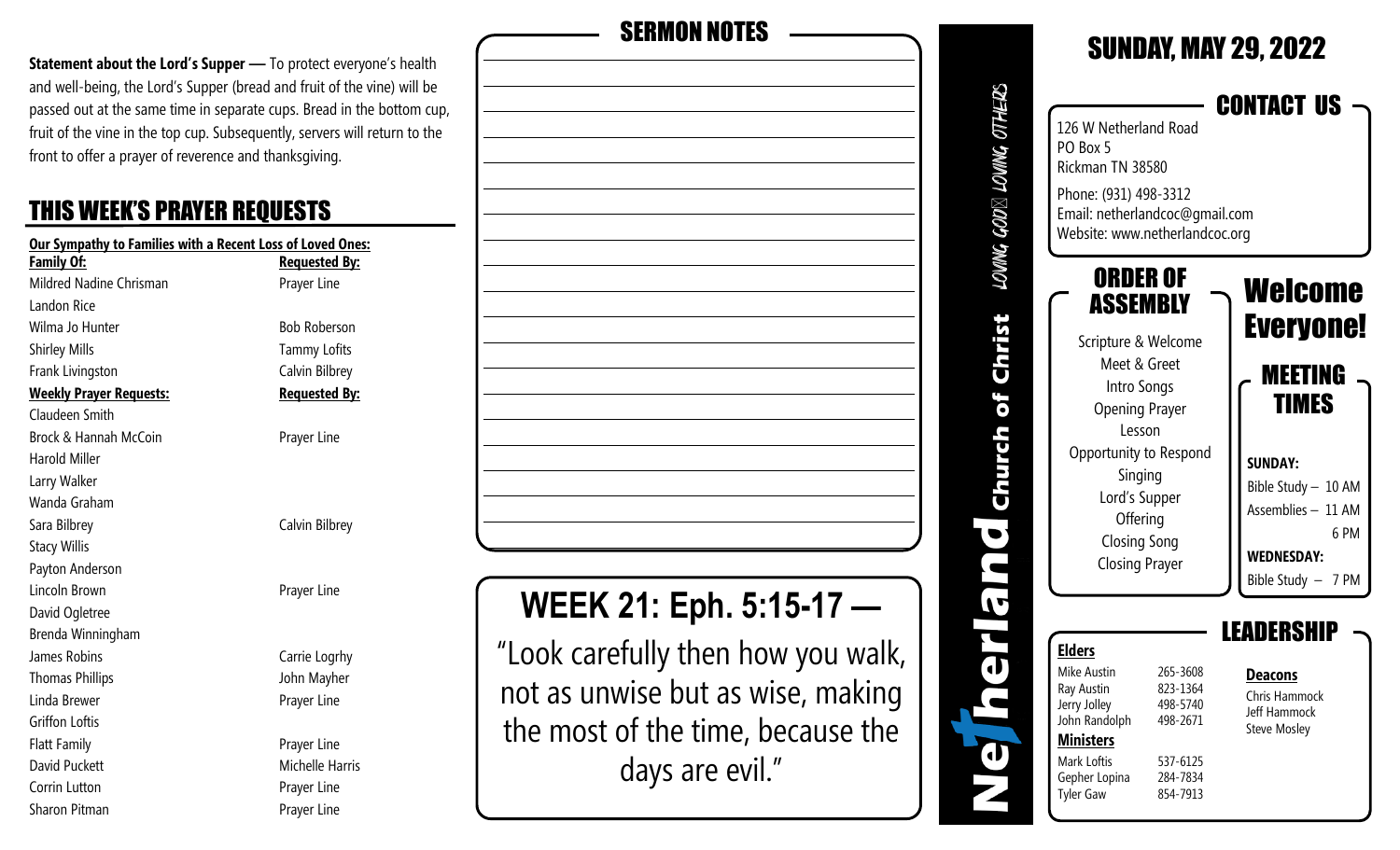**Statement about the Lord's Supper** - To protect everyone's health and well-being, the Lord's Supper (bread and fruit of the vine) will be passed out at the same time in separate cups. Bread in the bottom cup, fruit of the vine in the top cup. Subsequently, servers will return to the front to offer a prayer of reverence and thanksgiving.

#### THIS WEEK'S PRAYER REQUESTS

| Our Sympathy to Families with a Recent Loss of Loved Ones: |                      |
|------------------------------------------------------------|----------------------|
| Family Of:                                                 | <b>Requested By:</b> |
| Mildred Nadine Chrisman                                    | Prayer Line          |
| Landon Rice                                                |                      |
| Wilma Jo Hunter                                            | <b>Bob Roberson</b>  |
| <b>Shirley Mills</b>                                       | <b>Tammy Lofits</b>  |
| Frank Livingston                                           | Calvin Bilbrey       |
| <b>Weekly Prayer Requests:</b>                             | <b>Requested By:</b> |
| Claudeen Smith                                             |                      |
| Brock & Hannah McCoin                                      | Prayer Line          |
| Harold Miller                                              |                      |
| Larry Walker                                               |                      |
| Wanda Graham                                               |                      |
| Sara Bilbrey                                               | Calvin Bilbrey       |
| <b>Stacy Willis</b>                                        |                      |
| Payton Anderson                                            |                      |
| Lincoln Brown                                              | Prayer Line          |
| David Ogletree                                             |                      |
| Brenda Winningham                                          |                      |
| James Robins                                               | Carrie Logrhy        |
| <b>Thomas Phillips</b>                                     | John Mayher          |
| Linda Brewer                                               | Prayer Line          |
| Griffon Loftis                                             |                      |
| <b>Flatt Family</b>                                        | Prayer Line          |
| David Puckett                                              | Michelle Harris      |
| Corrin Lutton                                              | Prayer Line          |

Sharon Pitman **Prayer Line** Prayer Line

| <b>SERMON NOTES</b>                                                    |
|------------------------------------------------------------------------|
|                                                                        |
|                                                                        |
|                                                                        |
|                                                                        |
|                                                                        |
|                                                                        |
|                                                                        |
|                                                                        |
|                                                                        |
|                                                                        |
|                                                                        |
|                                                                        |
| <b>WEEK 21: Eph. 5:15-17</b>                                           |
| "Look carefully then how you walk,                                     |
| not as unwise but as wise, making<br>the most of the time, because the |

days are evil."

|                         |                                                                                                                                                                                                                                 |                                                                                  | <b>SUNDAY, MAY 29, 2022</b>                                                                                                                                       |
|-------------------------|---------------------------------------------------------------------------------------------------------------------------------------------------------------------------------------------------------------------------------|----------------------------------------------------------------------------------|-------------------------------------------------------------------------------------------------------------------------------------------------------------------|
| LOWNG GOD⊠ LOWNG OTHERS | 126 W Netherland Road<br>PO Box 5<br>Rickman TN 38580<br>Phone: (931) 498-3312<br>Email: netherlandcoc@gmail.com<br>Website: www.netherlandcoc.org                                                                              |                                                                                  | CONTACT US                                                                                                                                                        |
| of Christ               | ORDER OF<br>ASSEMBLY<br>Scripture & Welcome<br>Meet & Greet<br>Intro Songs<br><b>Opening Prayer</b><br>Lesson<br>Opportunity to Respond<br>Singing<br>Lord's Supper<br>Offering<br><b>Closing Song</b><br><b>Closing Prayer</b> |                                                                                  | Welcome<br><b>Everyone!</b><br>MEETING<br>TIMES<br><b>SUNDAY:</b><br>Bible Study - 10 AM<br>Assemblies - 11 AM<br>6 PM<br><b>WEDNESDAY:</b><br>Bible Study - 7 PM |
|                         | <b>Elders</b><br>Mike Austin<br>Ray Austin<br>Jerry Jolley<br>John Randolph<br><b>Ministers</b><br>Mark Loftis<br>Gepher Lopina<br><b>Tyler Gaw</b>                                                                             | 265-3608<br>823-1364<br>498-5740<br>498-2671<br>537-6125<br>284-7834<br>854-7913 | DERS<br><b>Deacons</b><br>Chris Hammock<br>Jeff Hammock<br><b>Steve Mosley</b>                                                                                    |